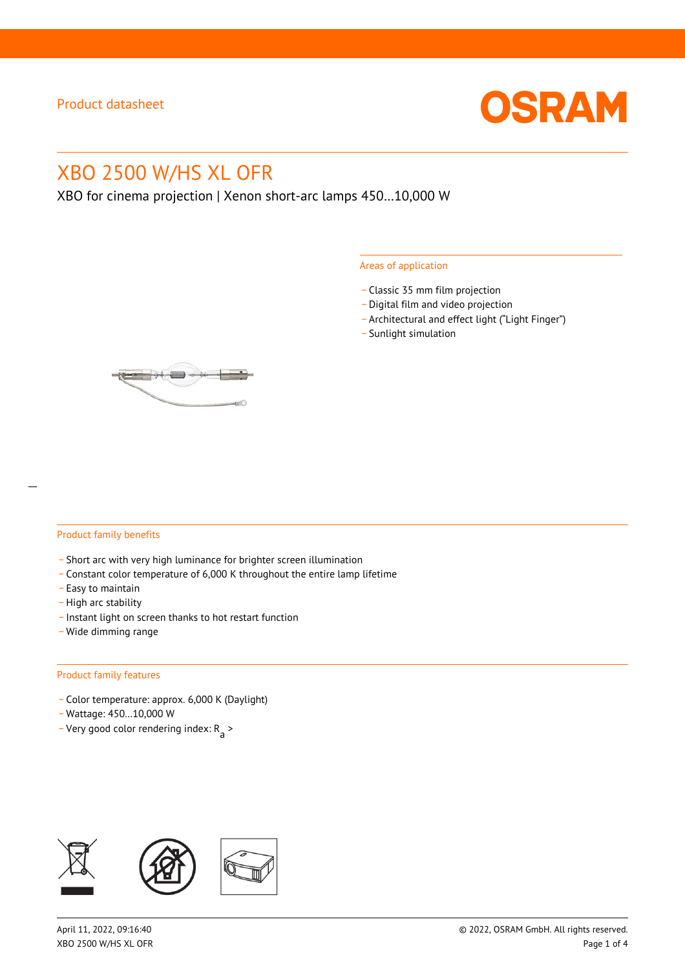

# XBO 2500 W/HS XL OFR

XBO for cinema projection | Xenon short-arc lamps 450…10,000 W

#### Areas of application

- \_ Classic 35 mm film projection
- \_ Digital film and video projection
- \_ Architectural and effect light ("Light Finger")
- Sunlight simulation



#### Product family benefits

- \_ Short arc with very high luminance for brighter screen illumination
- \_ Constant color temperature of 6,000 K throughout the entire lamp lifetime
- \_ Easy to maintain
- High arc stability
- \_ Instant light on screen thanks to hot restart function
- \_ Wide dimming range

#### Product family features

- \_ Color temperature: approx. 6,000 K (Daylight)
- \_ Wattage: 450…10,000 W
- Very good color rendering index:  $R_{\text{a}}$  >

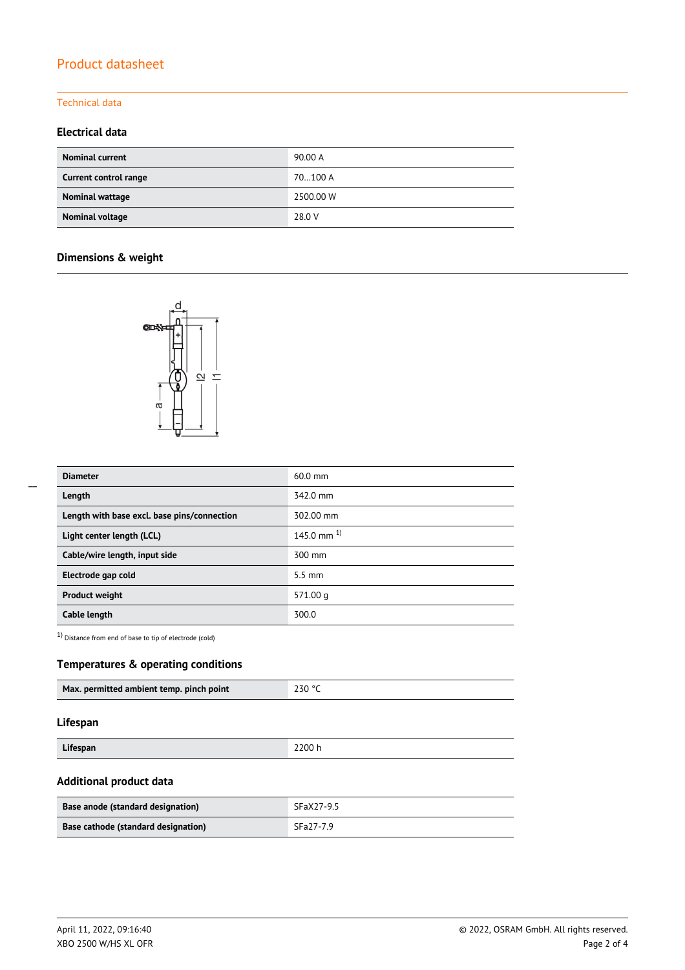# Product datasheet

## Technical data

### **Electrical data**

| <b>Nominal current</b> | 90.00 A   |
|------------------------|-----------|
| Current control range  | 70100 A   |
| Nominal wattage        | 2500.00 W |
| Nominal voltage        | 28.0 V    |

# **Dimensions & weight**



| <b>Diameter</b>                             | $60.0$ mm        |
|---------------------------------------------|------------------|
| Length                                      | 342.0 mm         |
| Length with base excl. base pins/connection | 302.00 mm        |
| Light center length (LCL)                   | 145.0 mm $^{1}$  |
| Cable/wire length, input side               | 300 mm           |
| Electrode gap cold                          | $5.5 \text{ mm}$ |
| <b>Product weight</b>                       | 571.00q          |
| Cable length                                | 300.0            |

1) Distance from end of base to tip of electrode (cold)

## **Temperatures & operating conditions**

| Max. permitted ambient temp. pinch point | 230 °C |
|------------------------------------------|--------|
|                                          |        |

#### **Lifespan**

| $\cdots$<br>------<br>snar<br>----- | 2200 h |
|-------------------------------------|--------|

## **Additional product data**

| Base anode (standard designation)   | SFaX27-9.5 |
|-------------------------------------|------------|
| Base cathode (standard designation) | SFa27-7.9  |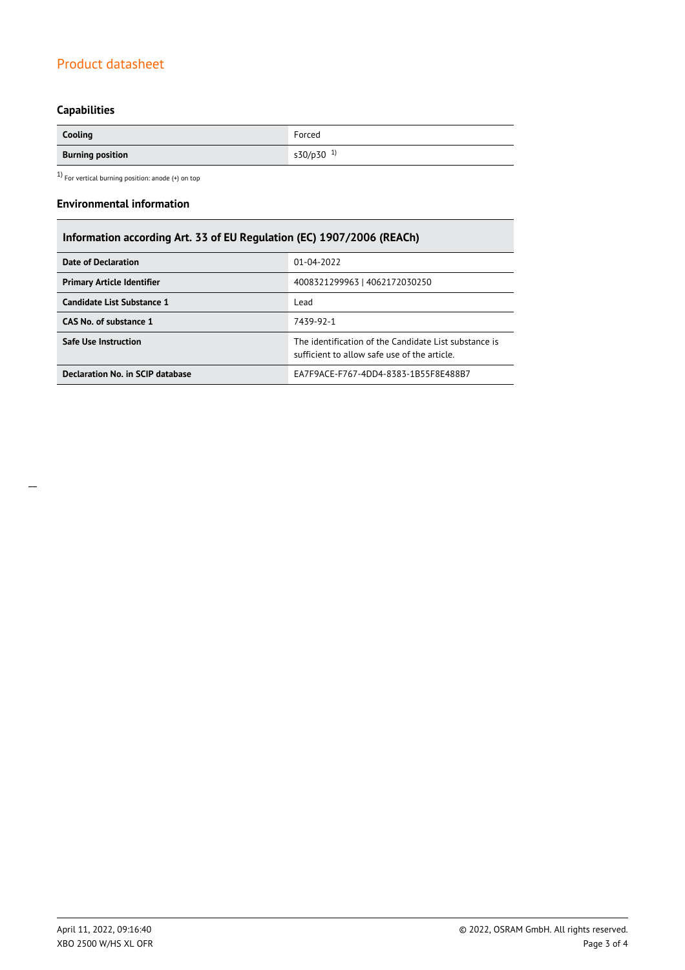# Product datasheet

# **Capabilities**

| Cooling                 | Forced                |
|-------------------------|-----------------------|
| <b>Burning position</b> | s30/p30 <sup>1)</sup> |

 $1)$  For vertical burning position: anode (+) on top

#### **Environmental information**

# **Information according Art. 33 of EU Regulation (EC) 1907/2006 (REACh)**

| Date of Declaration               | 01-04-2022                                                                                            |  |  |
|-----------------------------------|-------------------------------------------------------------------------------------------------------|--|--|
| <b>Primary Article Identifier</b> | 4008321299963   4062172030250                                                                         |  |  |
| Candidate List Substance 1        | Lead                                                                                                  |  |  |
| CAS No. of substance 1            | 7439-92-1                                                                                             |  |  |
| <b>Safe Use Instruction</b>       | The identification of the Candidate List substance is<br>sufficient to allow safe use of the article. |  |  |
| Declaration No. in SCIP database  | EA7F9ACE-F767-4DD4-8383-1B55F8E488B7                                                                  |  |  |